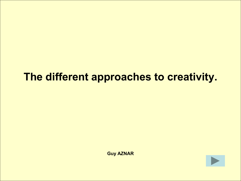# **The different approaches to creativity.**

**Guy AZNAR**

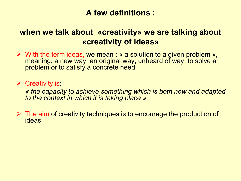## **A few definitions :**

## **when we talk about «creativity» we are talking about «creativity of ideas»**

 $\triangleright$  With the term ideas, we mean : « a solution to a given problem », meaning, a new way, an original way, unheard of way to solve a problem or to satisfy a concrete need.

 $\triangleright$  Creativity is:

 *« the capacity to achieve something which is both new and adapted to the context in which it is taking place ».*

 $\triangleright$  The aim of creativity techniques is to encourage the production of ideas.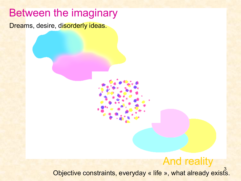# Between the imaginary

Dreams, desire, disorderly ideas.

# And reality

3 Objective constraints, everyday « life », what already exists.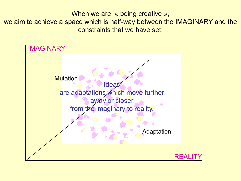When we are « being creative », we aim to achieve a space which is half-way between the IMAGINARY and the constraints that we have set.

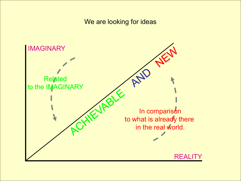#### We are looking for ideas

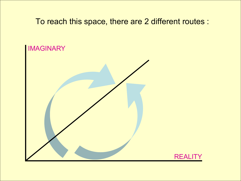### To reach this space, there are 2 different routes :

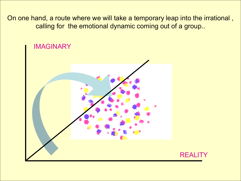On one hand, a route where we will take a temporary leap into the irrational , calling for the emotional dynamic coming out of a group..

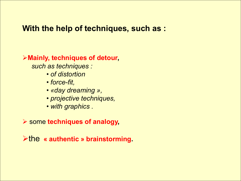### **With the help of techniques, such as :**

### **Mainly, techniques of detour,**

 *such as techniques :*

- *of distortion*
- *force-fit,*
- *«day dreaming »,*
- *projective techniques,*
- *with graphics .*

some **techniques of analogy,**

the **« authentic » brainstorming.**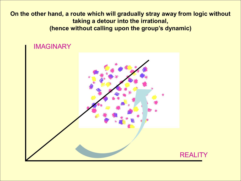**On the other hand, a route which will gradually stray away from logic without taking a detour into the irrational, (hence without calling upon the group's dynamic)**

#### IMAGINARY

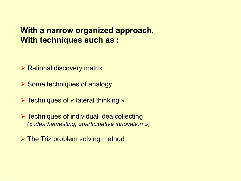### **With a narrow organized approach, With techniques such as :**

 $\triangleright$  Rational discovery matrix

 $\triangleright$  Some techniques of analogy

**► Techniques of « lateral thinking »** 

 Techniques of individual idea collecting  *(« idea harvesting, «participative innovation »)*

 $\triangleright$  The Triz problem solving method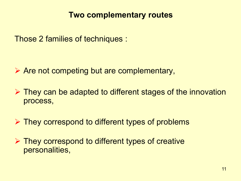## **Two complementary routes**

Those 2 families of techniques :

 $\triangleright$  Are not competing but are complementary,

- $\triangleright$  They can be adapted to different stages of the innovation process,
- $\triangleright$  They correspond to different types of problems
- ▶ They correspond to different types of creative personalities,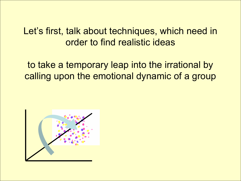Let's first, talk about techniques, which need in order to find realistic ideas

to take a temporary leap into the irrational by calling upon the emotional dynamic of a group

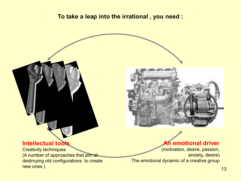#### **To take a leap into the irrational , you need :**



Creativity techniques (A number of approaches that aim at destroying old configurations to create new ones )



#### **An emotional driver**

(motivation, desire, passion, anxiety, desire) The emotional dynamic of a creative group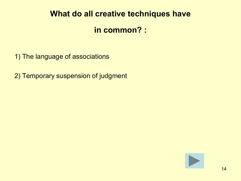### **What do all creative techniques have**

### **in common? :**

- 1) The language of associations
- 2) Temporary suspension of judgment

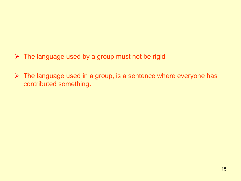- $\triangleright$  The language used by a group must not be rigid
- $\triangleright$  The language used in a group, is a sentence where everyone has contributed something.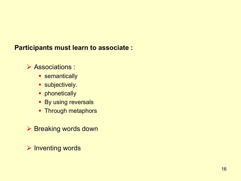#### **Participants must learn to associate :**

### Associations :

- **semantically**
- **subjectively.**
- **•** phonetically
- **By using reversals**
- Through metaphors
- ▶ Breaking words down
- $\triangleright$  Inventing words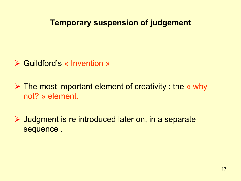## **Temporary suspension of judgement**

- **► Guildford's « Invention »**
- $\triangleright$  The most important element of creativity : the « why not? » element.
- **▶ Judgment is re introduced later on, in a separate** sequence .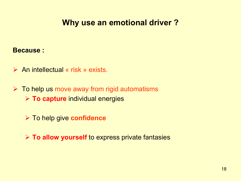# **Why use an emotional driver ?**

#### **Because :**

- $\triangleright$  An intellectual « risk » exists.
- $\triangleright$  To help us move away from rigid automatisms **EXTO capture individual energies** 
	- To help give **confidence**

**EXP To allow yourself** to express private fantasies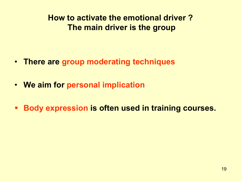**How to activate the emotional driver ? The main driver is the group**

- **There are group moderating techniques**
- **We aim for personal implication**
- **Body expression is often used in training courses.**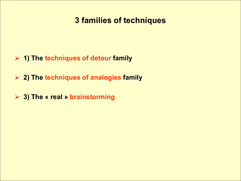# **3 families of techniques**

- **1) The techniques of detour family**
- **2) The techniques of analogies family**
- **3) The « real » brainstorming**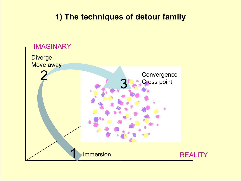# **1) The techniques of detour family**

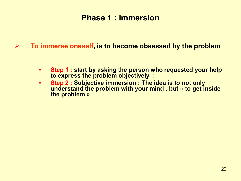### **Phase 1 : Immersion**

**To immerse oneself, is to become obsessed by the problem**

- **Step 1 : start by asking the person who requested your help to express the problem objectively :**
- **Step 2 : Subjective immersion : The idea is to not only understand the problem with your mind , but « to get inside the problem »**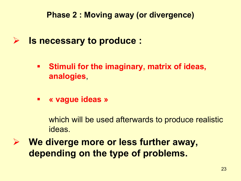**Phase 2 : Moving away (or divergence)**

- **Is necessary to produce :**
	- **Stimuli for the imaginary, matrix of ideas, analogies**,
	- **« vague ideas »**

which will be used afterwards to produce realistic ideas.

 **We diverge more or less further away, depending on the type of problems.**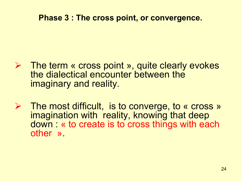### **Phase 3 : The cross point, or convergence.**

- **►** The term « cross point », quite clearly evokes the dialectical encounter between the imaginary and reality.
- The most difficult, is to converge, to « cross » imagination with reality, knowing that deep down : « to create is to cross things with each other ».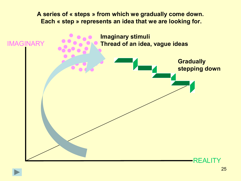#### **A series of « steps » from which we gradually come down. Each « step » represents an idea that we are looking for.**

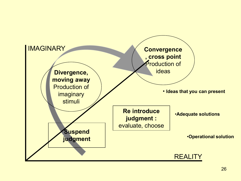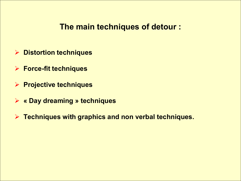### **The main techniques of detour :**

- **Distortion techniques**
- **Force-fit techniques**
- **Projective techniques**
- **« Day dreaming » techniques**
- **Techniques with graphics and non verbal techniques.**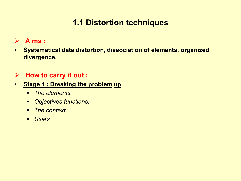# **1.1 Distortion techniques**

### **Aims :**

• **Systematical data distortion, dissociation of elements, organized divergence.**

### **How to carry it out :**

- **Stage 1 : Breaking the problem up** 
	- *The elements*
	- *Objectives functions,*
	- *The context,*
	- *Users*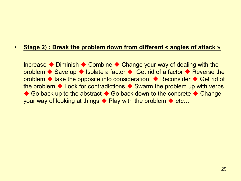#### • **Stage 2) : Break the problem down from different « angles of attack »**

Increase  $\blacklozenge$  Diminish  $\blacklozenge$  Combine  $\blacklozenge$  Change your way of dealing with the problem  $\blacklozenge$  Save up  $\blacklozenge$  Isolate a factor  $\blacklozenge$  Get rid of a factor  $\blacklozenge$  Reverse the problem  $\blacklozenge$  take the opposite into consideration  $\blacklozenge$  Reconsider  $\blacklozenge$  Get rid of the problem  $\blacklozenge$  Look for contradictions  $\blacklozenge$  Swarm the problem up with verbs ◆ Go back up to the abstract ◆ Go back down to the concrete ◆ Change your way of looking at things  $\blacklozenge$  Play with the problem  $\blacklozenge$  etc...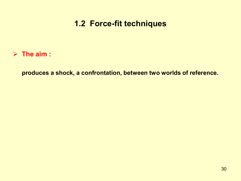# **1.2 Force-fit techniques**

**The aim :**

**produces a shock, a confrontation, between two worlds of reference.**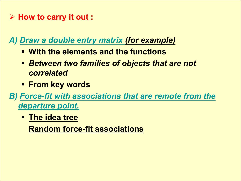# **How to carry it out :**

*A) Draw a double entry matrix (for example)*

- **With the elements and the functions**
- *Between two families of objects that are not correlated*
- **From key words**

*B) Force-fit with associations that are remote from the departure point.* 

**The idea tree**

**Random force-fit associations**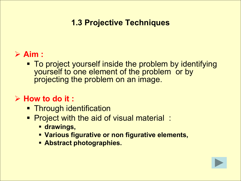# **1.3 Projective Techniques**

# **Aim :**

**To project yourself inside the problem by identifying** yourself to one element of the problem or by projecting the problem on an image.

# **How to do it :**

- **EXTENCOUGH identification**
- **Project with the aid of visual material:** 
	- **drawings,**
	- **Various figurative or non figurative elements,**
	- **Abstract photographies.**

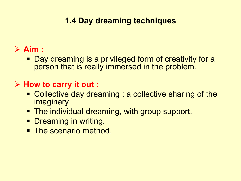# **1.4 Day dreaming techniques**

# **Aim :**

 Day dreaming is a privileged form of creativity for a person that is really immersed in the problem.

# **How to carry it out :**

- Collective day dreaming : a collective sharing of the imaginary.
- **The individual dreaming, with group support.**
- **Dreaming in writing.**
- <span id="page-32-0"></span>• The scenario method.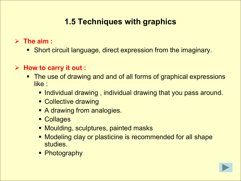# **1.5 Techniques with graphics**

**The aim :**

Short circuit language, direct expression from the imaginary.

### **How to carry it out :**

- The use of drawing and and of all forms of graphical expressions like :
	- **Individual drawing, individual drawing that you pass around.**
	- Collective drawing
	- **A drawing from analogies.**
	- **Collages**
	- **Moulding, sculptures, painted masks**
	- **Modeling clay or plasticine is recommended for all shape** studies.
	- Photography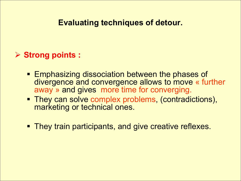## **Evaluating techniques of detour.**

### **Strong points :**

- **Emphasizing dissociation between the phases of** divergence and convergence allows to move « further away » and gives more time for converging.
- They can solve complex problems, (contradictions), marketing or technical ones.
- <span id="page-34-0"></span>**They train participants, and give creative reflexes.**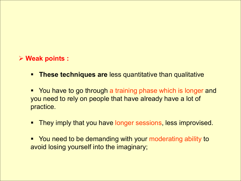#### **Weak points :**

- **These techniques are less quantitative than qualitative**
- **You have to go through a training phase which is longer and** you need to rely on people that have already have a lot of practice.
- **They imply that you have longer sessions, less improvised.**
- You need to be demanding with your moderating ability to avoid losing yourself into the imaginary;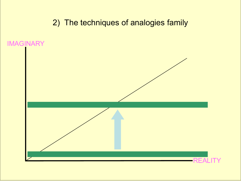2) The techniques of analogies family

IMAGINARY

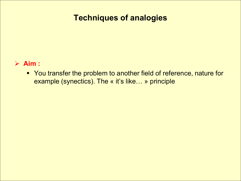# **Techniques of analogies**

#### **Aim :**

 You transfer the problem to another field of reference, nature for example (synectics). The « it's like… » principle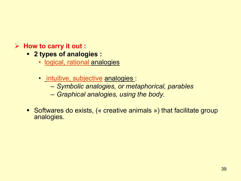### **How to carry it out :**

- **2 types of analogies :**
	- logical, rational analogies
	- intuitive, subjective analogies :
		- *Symbolic analogies, or metaphorical, parables*
		- *Graphical analogies, using the body.*
- Softwares do exists, (« creative animals ») that facilitate group analogies.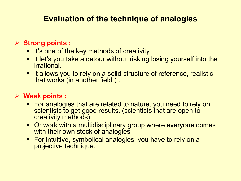# **Evaluation of the technique of analogies**

### **Strong points :**

- **It's one of the key methods of creativity**
- **It let's you take a detour without risking losing yourself into the** irrational.
- **It allows you to rely on a solid structure of reference, realistic,** that works (in another field ) .

### **Weak points :**

- **For analogies that are related to nature, you need to rely on** scientists to get good results. (scientists that are open to creativity methods)
- Or work with a multidisciplinary group where everyone comes with their own stock of analogies
- **For intuitive, symbolical analogies, you have to rely on a** projective technique.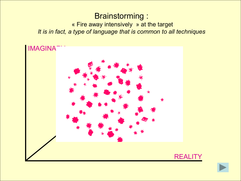# Brainstorming :

« Fire away intensively » at the target *It is in fact, a type of language that is common to all techniques*



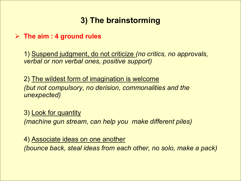# **3) The brainstorming**

#### **The aim : 4 ground rules**

1) Suspend judgment, do not criticize *(no critics, no approvals, verbal or non verbal ones, positive support)*

2) The wildest form of imagination is welcome *(but not compulsory, no derision, commonalities and the unexpected)*

3) Look for quantity *(machine gun stream, can help you make different piles)*

4) Associate ideas on one another

*(bounce back, steal ideas from each other, no solo, make a pack)*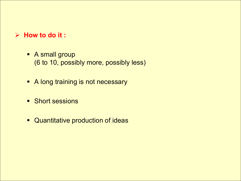#### **How to do it :**

- A small group (6 to 10, possibly more, possibly less)
- **A long training is not necessary**
- **Short sessions**
- **E** Quantitative production of ideas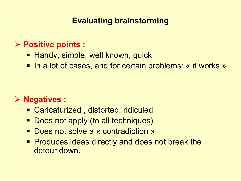# **Evaluating brainstorming**

# **Positive points :**

- **Handy, simple, well known, quick**
- In a lot of cases, and for certain problems: « it works »

# **Negatives :**

- Caricaturized , distorted, ridiculed
- Does not apply (to all techniques)
- Does not solve a « contradiction »
- <span id="page-43-0"></span>**Produces ideas directly and does not break the** detour down.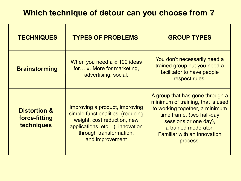# **Which technique of detour can you choose from ?**

| <b>TECHNIQUES</b>                                      | <b>TYPES OF PROBLEMS</b>                                                                                                                                                           | <b>GROUP TYPES</b>                                                                                                                                                                                                                     |
|--------------------------------------------------------|------------------------------------------------------------------------------------------------------------------------------------------------------------------------------------|----------------------------------------------------------------------------------------------------------------------------------------------------------------------------------------------------------------------------------------|
| <b>Brainstorming</b>                                   | When you need a « 100 ideas<br>for ». More for marketing,<br>advertising, social.                                                                                                  | You don't necessarily need a<br>trained group but you need a<br>facilitator to have people<br>respect rules.                                                                                                                           |
| <b>Distortion &amp;</b><br>force-fitting<br>techniques | Improving a product, improving<br>simple functionalities, (reducing<br>weight, cost reduction, new<br>applications, etc), innovation<br>through transformation,<br>and improvement | A group that has gone through a<br>minimum of training, that is used<br>to working together, a minimum<br>time frame, (two half-day<br>sessions or one day),<br>a trained moderator;<br><b>Familiar with an innovation</b><br>process. |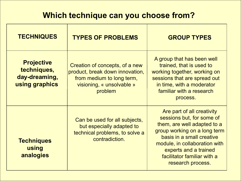# **Which technique can you choose from?**

| <b>TECHNIQUES</b>                                                   | <b>TYPES OF PROBLEMS</b>                                                                                                               | <b>GROUP TYPES</b>                                                                                                                                                                                                                                                |
|---------------------------------------------------------------------|----------------------------------------------------------------------------------------------------------------------------------------|-------------------------------------------------------------------------------------------------------------------------------------------------------------------------------------------------------------------------------------------------------------------|
| <b>Projective</b><br>techniques,<br>day-dreaming,<br>using graphics | Creation of concepts, of a new<br>product, break down innovation,<br>from medium to long term,<br>visioning, « unsolvable »<br>problem | A group that has been well<br>trained, that is used to<br>working together, working on<br>sessions that are spread out<br>in time, with a moderator<br>familiar with a research<br>process.                                                                       |
| <b>Techniques</b><br>using<br>analogies                             | Can be used for all subjects,<br>but especially adapted to<br>technical problems, to solve a<br>contradiction.                         | Are part of all creativity<br>sessions but, for some of<br>them, are well adapted to a<br>group working on a long term<br>basis in a small creative<br>module, in collaboration with<br>experts and a trained<br>facilitator familiar with a<br>research process. |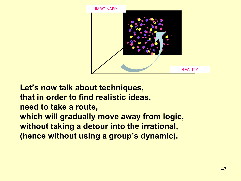

**Let's now talk about techniques, that in order to find realistic ideas, need to take a route, which will gradually move away from logic, without taking a detour into the irrational, (hence without using a group's dynamic).**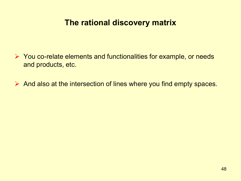# **The rational discovery matrix**

- $\triangleright$  You co-relate elements and functionalities for example, or needs and products, etc.
- $\triangleright$  And also at the intersection of lines where you find empty spaces.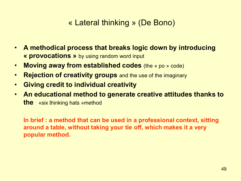# « Lateral thinking » (De Bono)

- **A methodical process that breaks logic down by introducing « provocations »** by using random word input
- **Moving away from established codes** (the « po » code)
- **Rejection of creativity groups** and the use of the imaginary
- **Giving credit to individual creativity**
- **An educational method to generate creative attitudes thanks to the** «six thinking hats »method

**In brief : a method that can be used in a professional context, sitting around a table, without taking your tie off, which makes it a very popular method.**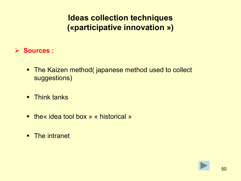# **Ideas collection techniques («participative innovation »)**

- **Sources :**
	- The Kaizen method( japanese method used to collect suggestions)
	- **F** Think tanks
	- the« idea tool box » « historical »
	- **The intranet**

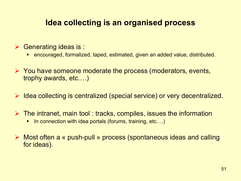# **Idea collecting is an organised process**

- $\triangleright$  Generating ideas is :
	- encouraged, formalized, taped, estimated, given an added value, distributed.
- $\triangleright$  You have someone moderate the process (moderators, events, trophy awards, etc.…)
- $\triangleright$  Idea collecting is centralized (special service) or very decentralized.
- $\triangleright$  The intranet, main tool : tracks, compiles, issues the information
	- In connection with idea portals (forums, training, etc....)
- Most often a « push-pull » process (spontaneous ideas and calling for ideas).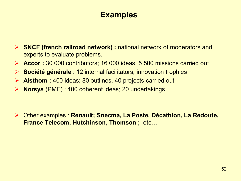# **Examples**

- **SNCF (french railroad network) :** national network of moderators and experts to evaluate problems.
- **Accor :** 30 000 contributors; 16 000 ideas; 5 500 missions carried out
- **Société générale** : 12 internal facilitators, innovation trophies
- **Alsthom :** 400 ideas; 80 outlines, 40 projects carried out
- **Norsys** (PME) : 400 coherent ideas; 20 undertakings

 Other examples : **Renault; Snecma, La Poste, Décathlon, La Redoute, France Telecom, Hutchinson, Thomson ;** etc…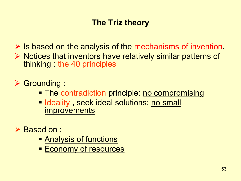# **The Triz theory**

 $\triangleright$  Is based on the analysis of the mechanisms of invention.  $\triangleright$  Notices that inventors have relatively similar patterns of thinking : the 40 principles

Grounding :

- The contradiction principle: no compromising
- **Ideality, seek ideal solutions: no small improvements**
- **▶ Based on :** 
	- **Analysis of functions**
	- **Economy of resources**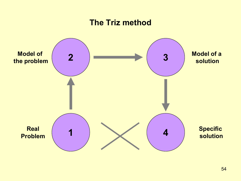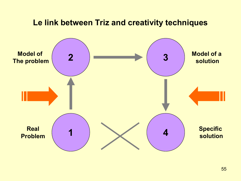### **Le link between Triz and creativity techniques 2 3 Model of Model of a solution**

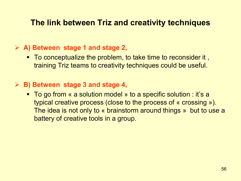## **The link between Triz and creativity techniques**

#### **A) Between stage 1 and stage 2,**

■ To conceptualize the problem, to take time to reconsider it, training Triz teams to creativity techniques could be useful.

#### **B) Between stage 3 and stage 4,**

■ To go from « a solution model » to a specific solution : it's a typical creative process (close to the process of « crossing »). The idea is not only to « brainstorm around things » but to use a battery of creative tools in a group.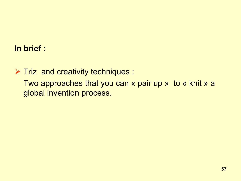# **In brief :**

 $\triangleright$  Triz and creativity techniques : Two approaches that you can « pair up » to « knit » a global invention process.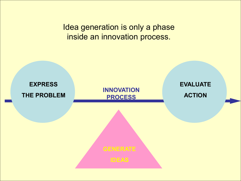Idea generation is only a phase inside an innovation process.